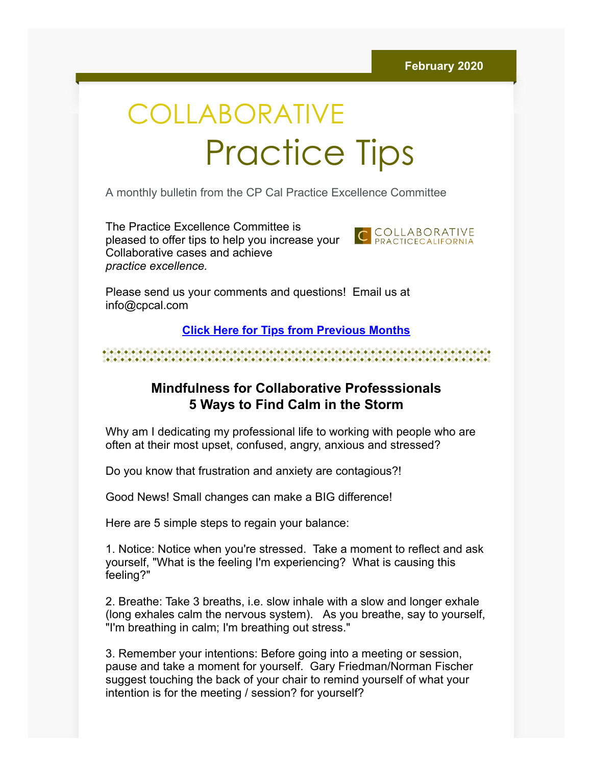# COLLABORATIVE Practice Tips

A monthly bulletin from the CP Cal Practice Excellence Committee

The Practice Excellence Committee is pleased to offer tips to help you increase your Collaborative cases and achieve *practice excellence.*



Please send us your comments and questions! Email us at info@cpcal.com

## **[Click Here for Tips from Previous Months](http://www.cpcal.com/for-professionals/practice-tips-newsletter/)**

## **Mindfulness for Collaborative Professsionals 5 Ways to Find Calm in the Storm**

Why am I dedicating my professional life to working with people who are often at their most upset, confused, angry, anxious and stressed?

Do you know that frustration and anxiety are contagious?!

Good News! Small changes can make a BIG difference!

Here are 5 simple steps to regain your balance:

1. Notice: Notice when you're stressed. Take a moment to reflect and ask yourself, "What is the feeling I'm experiencing? What is causing this feeling?"

2. Breathe: Take 3 breaths, i.e. slow inhale with a slow and longer exhale (long exhales calm the nervous system). As you breathe, say to yourself, "I'm breathing in calm; I'm breathing out stress."

3. Remember your intentions: Before going into a meeting or session, pause and take a moment for yourself. Gary Friedman/Norman Fischer suggest touching the back of your chair to remind yourself of what your intention is for the meeting / session? for yourself?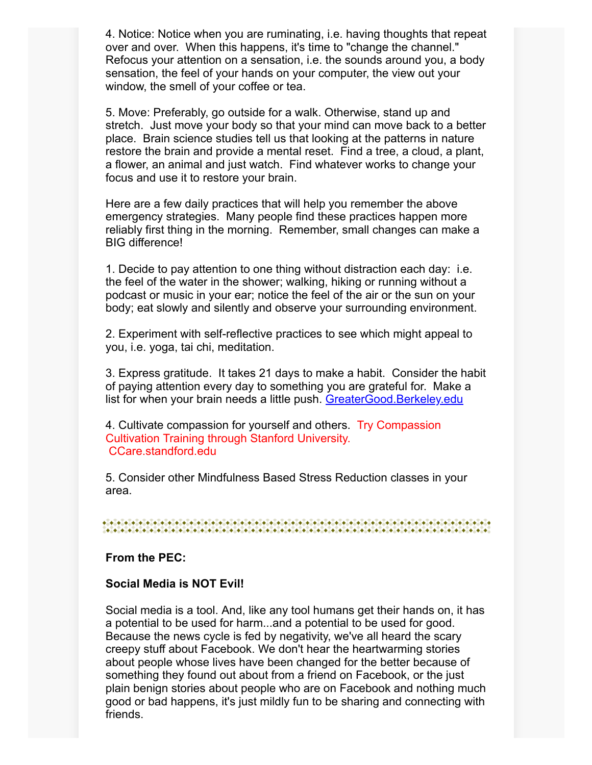4. Notice: Notice when you are ruminating, i.e. having thoughts that repeat over and over. When this happens, it's time to "change the channel." Refocus your attention on a sensation, i.e. the sounds around you, a body sensation, the feel of your hands on your computer, the view out your window, the smell of your coffee or tea.

5. Move: Preferably, go outside for a walk. Otherwise, stand up and stretch. Just move your body so that your mind can move back to a better place. Brain science studies tell us that looking at the patterns in nature restore the brain and provide a mental reset. Find a tree, a cloud, a plant, a flower, an animal and just watch. Find whatever works to change your focus and use it to restore your brain.

Here are a few daily practices that will help you remember the above emergency strategies. Many people find these practices happen more reliably first thing in the morning. Remember, small changes can make a BIG difference!

1. Decide to pay attention to one thing without distraction each day: i.e. the feel of the water in the shower; walking, hiking or running without a podcast or music in your ear; notice the feel of the air or the sun on your body; eat slowly and silently and observe your surrounding environment.

2. Experiment with self-reflective practices to see which might appeal to you, i.e. yoga, tai chi, meditation.

3. Express gratitude. It takes 21 days to make a habit. Consider the habit of paying attention every day to something you are grateful for. Make a list for when your brain needs a little push. [GreaterGood.Berkeley.edu](https://greatergood.berkeley.edu/)

4. Cultivate compassion for yourself and others. Try Compassion Cultivation Training through Stanford University. CCare.standford.edu

5. Consider other Mindfulness Based Stress Reduction classes in your area.

#### **From the PEC:**

### **Social Media is NOT Evil!**

Social media is a tool. And, like any tool humans get their hands on, it has a potential to be used for harm...and a potential to be used for good. Because the news cycle is fed by negativity, we've all heard the scary creepy stuff about Facebook. We don't hear the heartwarming stories about people whose lives have been changed for the better because of something they found out about from a friend on Facebook, or the just plain benign stories about people who are on Facebook and nothing much good or bad happens, it's just mildly fun to be sharing and connecting with friends.